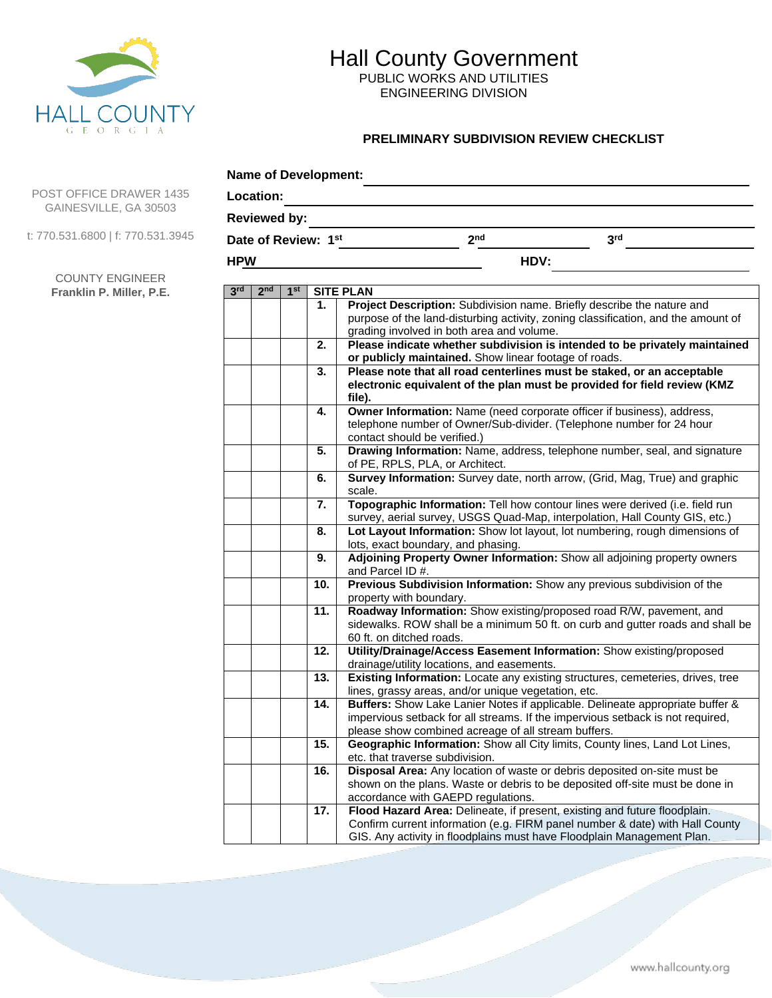

PUBLIC WORKS AND UTILITIES ENGINEERING DIVISION

### **PRELIMINARY SUBDIVISION REVIEW CHECKLIST**

| Location:  |                     |                 |                     |                                                                                                                                                                                                                        |                 |  |
|------------|---------------------|-----------------|---------------------|------------------------------------------------------------------------------------------------------------------------------------------------------------------------------------------------------------------------|-----------------|--|
|            | <b>Reviewed by:</b> |                 |                     |                                                                                                                                                                                                                        |                 |  |
|            |                     |                 | Date of Review: 1st | 2 <sub>nd</sub>                                                                                                                                                                                                        | 3 <sup>rd</sup> |  |
| <b>HPW</b> |                     |                 |                     | HDV:                                                                                                                                                                                                                   |                 |  |
| 3rd        | 2 <sub>nd</sub>     | 1 <sup>st</sup> |                     | <b>SITE PLAN</b>                                                                                                                                                                                                       |                 |  |
|            |                     |                 | 1.                  | Project Description: Subdivision name. Briefly describe the nature and<br>purpose of the land-disturbing activity, zoning classification, and the amount of<br>grading involved in both area and volume.               |                 |  |
|            |                     |                 | 2.                  | Please indicate whether subdivision is intended to be privately maintained<br>or publicly maintained. Show linear footage of roads.                                                                                    |                 |  |
|            |                     |                 | 3.                  | Please note that all road centerlines must be staked, or an acceptable<br>electronic equivalent of the plan must be provided for field review (KMZ<br>file).                                                           |                 |  |
|            |                     |                 | 4.                  | Owner Information: Name (need corporate officer if business), address,<br>telephone number of Owner/Sub-divider. (Telephone number for 24 hour<br>contact should be verified.)                                         |                 |  |
|            |                     |                 | 5.                  | Drawing Information: Name, address, telephone number, seal, and signature<br>of PE, RPLS, PLA, or Architect.                                                                                                           |                 |  |
|            |                     |                 | 6.                  | Survey Information: Survey date, north arrow, (Grid, Mag, True) and graphic<br>scale.                                                                                                                                  |                 |  |
|            |                     |                 | 7.                  | Topographic Information: Tell how contour lines were derived (i.e. field run<br>survey, aerial survey, USGS Quad-Map, interpolation, Hall County GIS, etc.)                                                            |                 |  |
|            |                     |                 | 8.                  | Lot Layout Information: Show lot layout, lot numbering, rough dimensions of<br>lots, exact boundary, and phasing.                                                                                                      |                 |  |
|            |                     |                 | 9.                  | Adjoining Property Owner Information: Show all adjoining property owners<br>and Parcel ID #.                                                                                                                           |                 |  |
|            |                     |                 | 10.                 | Previous Subdivision Information: Show any previous subdivision of the<br>property with boundary.                                                                                                                      |                 |  |
|            |                     |                 | 11.                 | Roadway Information: Show existing/proposed road R/W, pavement, and<br>sidewalks. ROW shall be a minimum 50 ft. on curb and gutter roads and shall be<br>60 ft. on ditched roads.                                      |                 |  |
|            |                     |                 | 12.                 | Utility/Drainage/Access Easement Information: Show existing/proposed<br>drainage/utility locations, and easements.                                                                                                     |                 |  |
|            |                     |                 | 13.                 | Existing Information: Locate any existing structures, cemeteries, drives, tree<br>lines, grassy areas, and/or unique vegetation, etc.                                                                                  |                 |  |
|            |                     |                 | 14.                 | Buffers: Show Lake Lanier Notes if applicable. Delineate appropriate buffer &<br>impervious setback for all streams. If the impervious setback is not required,<br>please show combined acreage of all stream buffers. |                 |  |
|            |                     |                 | 15.                 | Geographic Information: Show all City limits, County lines, Land Lot Lines,<br>etc. that traverse subdivision.                                                                                                         |                 |  |
|            |                     |                 | 16.                 | Disposal Area: Any location of waste or debris deposited on-site must be<br>shown on the plans. Waste or debris to be deposited off-site must be done in<br>accordance with GAEPD regulations.                         |                 |  |
|            |                     |                 | 17.                 | Flood Hazard Area: Delineate, if present, existing and future floodplain.<br>Confirm current information (e.g. FIRM panel number & date) with Hall County                                                              |                 |  |

GIS. Any activity in floodplains must have Floodplain Management Plan.

POST OFFICE DRAWER 1435 GAINESVILLE, GA 30503

t: 770.531.6800 | f: 770.531.3945

COUNTY ENGINEER **Franklin P. Miller, P.E.**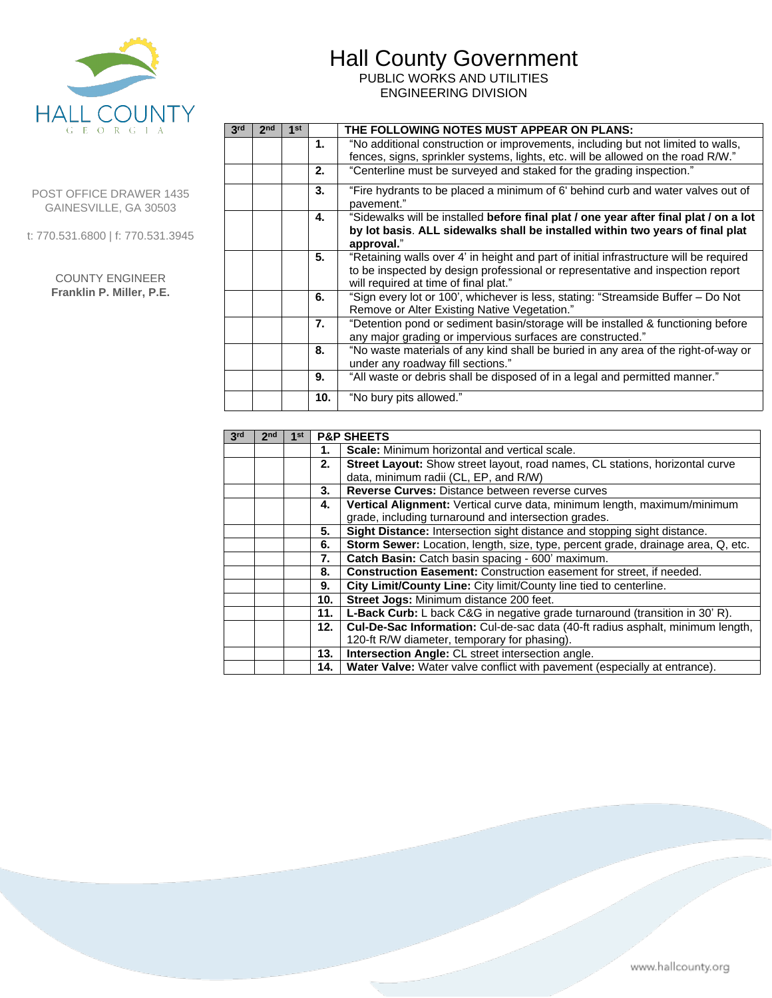PUBLIC WORKS AND UTILITIES ENGINEERING DIVISION



POST OFFICE DRAWER 1435 GAINESVILLE, GA 30503

t: 770.531.6800 | f: 770.531.3945

| <b>COUNTY ENGINEER</b>   |  |  |
|--------------------------|--|--|
| Franklin P. Miller, P.E. |  |  |

| 3rd | 2 <sub>nd</sub> | 1st |     | THE FOLLOWING NOTES MUST APPEAR ON PLANS:                                                                                                                                                                         |
|-----|-----------------|-----|-----|-------------------------------------------------------------------------------------------------------------------------------------------------------------------------------------------------------------------|
|     |                 |     | 1.  | "No additional construction or improvements, including but not limited to walls,<br>fences, signs, sprinkler systems, lights, etc. will be allowed on the road R/W."                                              |
|     |                 |     | 2.  | "Centerline must be surveyed and staked for the grading inspection."                                                                                                                                              |
|     |                 |     | 3.  | "Fire hydrants to be placed a minimum of 6' behind curb and water valves out of<br>pavement."                                                                                                                     |
|     |                 |     | 4.  | "Sidewalks will be installed before final plat / one year after final plat / on a lot<br>by lot basis. ALL sidewalks shall be installed within two years of final plat<br>approval."                              |
|     |                 |     | 5.  | "Retaining walls over 4' in height and part of initial infrastructure will be required<br>to be inspected by design professional or representative and inspection report<br>will required at time of final plat." |
|     |                 |     | 6.  | "Sign every lot or 100', whichever is less, stating: "Streamside Buffer - Do Not<br>Remove or Alter Existing Native Vegetation."                                                                                  |
|     |                 |     | 7.  | "Detention pond or sediment basin/storage will be installed & functioning before<br>any major grading or impervious surfaces are constructed."                                                                    |
|     |                 |     | 8.  | "No waste materials of any kind shall be buried in any area of the right-of-way or<br>under any roadway fill sections."                                                                                           |
|     |                 |     | 9.  | "All waste or debris shall be disposed of in a legal and permitted manner."                                                                                                                                       |
|     |                 |     | 10. | "No bury pits allowed."                                                                                                                                                                                           |

| 3 <sup>rd</sup> | 2 <sub>nd</sub> | 1st |     | <b>P&amp;P SHEETS</b>                                                               |
|-----------------|-----------------|-----|-----|-------------------------------------------------------------------------------------|
|                 |                 |     | 1.  | <b>Scale:</b> Minimum horizontal and vertical scale.                                |
|                 |                 |     | 2.  | <b>Street Layout:</b> Show street layout, road names, CL stations, horizontal curve |
|                 |                 |     |     | data, minimum radii (CL, EP, and R/W)                                               |
|                 |                 |     | 3.  | Reverse Curves: Distance between reverse curves                                     |
|                 |                 |     | 4.  | Vertical Alignment: Vertical curve data, minimum length, maximum/minimum            |
|                 |                 |     |     | grade, including turnaround and intersection grades.                                |
|                 |                 |     | 5.  | Sight Distance: Intersection sight distance and stopping sight distance.            |
|                 |                 |     | 6.  | Storm Sewer: Location, length, size, type, percent grade, drainage area, Q, etc.    |
|                 |                 |     | 7.  | Catch Basin: Catch basin spacing - 600' maximum.                                    |
|                 |                 |     | 8.  | Construction Easement: Construction easement for street, if needed.                 |
|                 |                 |     | 9.  | City Limit/County Line: City limit/County line tied to centerline.                  |
|                 |                 |     | 10. | Street Jogs: Minimum distance 200 feet.                                             |
|                 |                 |     | 11. | <b>L-Back Curb:</b> L back C&G in negative grade turnaround (transition in 30' R).  |
|                 |                 |     | 12. | Cul-De-Sac Information: Cul-de-sac data (40-ft radius asphalt, minimum length,      |
|                 |                 |     |     | 120-ft R/W diameter, temporary for phasing).                                        |
|                 |                 |     | 13. | Intersection Angle: CL street intersection angle.                                   |
|                 |                 |     | 14. | Water Valve: Water valve conflict with pavement (especially at entrance).           |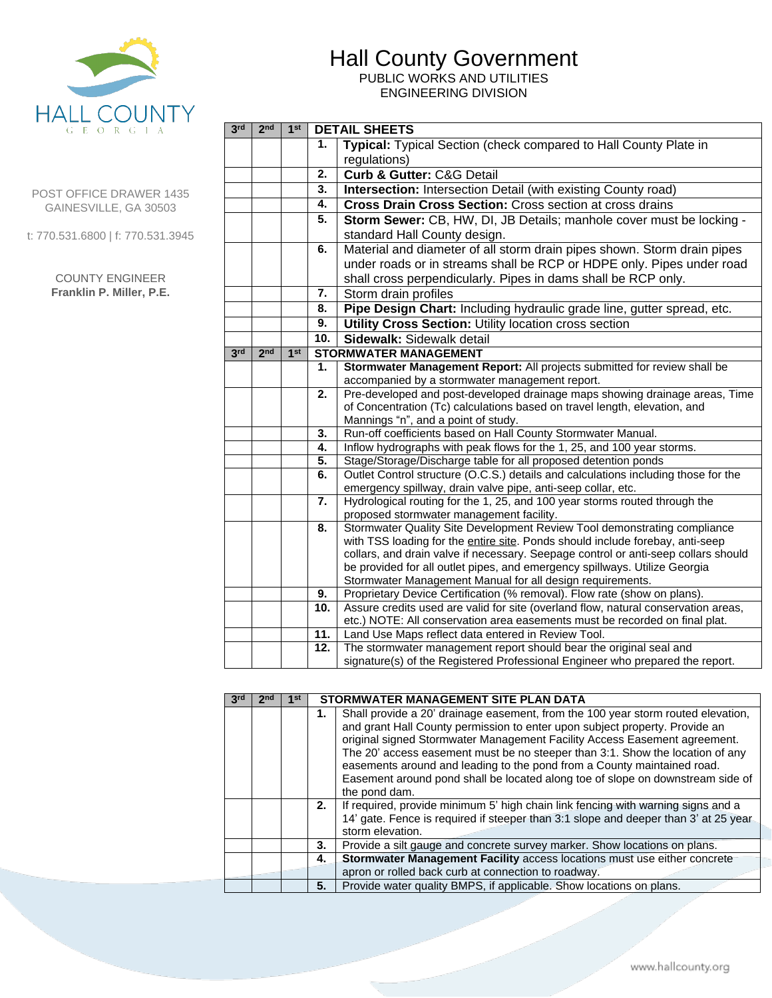PUBLIC WORKS AND UTILITIES ENGINEERING DIVISION



#### POST OFFICE DRAWER 1435 GAINESVILLE, GA 30503

t: 770.531.6800 | f: 770.531.3945

#### COUNTY ENGINEER **Franklin P. Miller, P.E.**

| 3 <sup>rd</sup> | 2 <sub>nd</sub> | 1 <sup>st</sup> |           | <b>DETAIL SHEETS</b>                                                                                                                                                                                              |  |  |  |  |
|-----------------|-----------------|-----------------|-----------|-------------------------------------------------------------------------------------------------------------------------------------------------------------------------------------------------------------------|--|--|--|--|
|                 |                 |                 | 1.        | Typical: Typical Section (check compared to Hall County Plate in                                                                                                                                                  |  |  |  |  |
|                 |                 |                 |           | regulations)                                                                                                                                                                                                      |  |  |  |  |
|                 |                 |                 | 2.        | Curb & Gutter: C&G Detail                                                                                                                                                                                         |  |  |  |  |
|                 |                 |                 | 3.        | <b>Intersection: Intersection Detail (with existing County road)</b>                                                                                                                                              |  |  |  |  |
|                 |                 |                 | 4.        | Cross Drain Cross Section: Cross section at cross drains                                                                                                                                                          |  |  |  |  |
|                 |                 |                 | 5.        | Storm Sewer: CB, HW, DI, JB Details; manhole cover must be locking -<br>standard Hall County design.                                                                                                              |  |  |  |  |
|                 |                 |                 | 6.        | Material and diameter of all storm drain pipes shown. Storm drain pipes<br>under roads or in streams shall be RCP or HDPE only. Pipes under road<br>shall cross perpendicularly. Pipes in dams shall be RCP only. |  |  |  |  |
|                 |                 |                 | 7.        | Storm drain profiles                                                                                                                                                                                              |  |  |  |  |
|                 |                 |                 | 8.        | Pipe Design Chart: Including hydraulic grade line, gutter spread, etc.                                                                                                                                            |  |  |  |  |
|                 |                 |                 | 9.        | Utility Cross Section: Utility location cross section                                                                                                                                                             |  |  |  |  |
|                 |                 |                 | 10.       | Sidewalk: Sidewalk detail                                                                                                                                                                                         |  |  |  |  |
| 3 <sup>rd</sup> | 2 <sub>nd</sub> | 1 <sup>st</sup> |           | <b>STORMWATER MANAGEMENT</b>                                                                                                                                                                                      |  |  |  |  |
|                 |                 |                 | 1.        | Stormwater Management Report: All projects submitted for review shall be                                                                                                                                          |  |  |  |  |
|                 |                 |                 |           | accompanied by a stormwater management report.                                                                                                                                                                    |  |  |  |  |
|                 |                 |                 | 2.        | Pre-developed and post-developed drainage maps showing drainage areas, Time                                                                                                                                       |  |  |  |  |
|                 |                 |                 |           | of Concentration (Tc) calculations based on travel length, elevation, and<br>Mannings "n", and a point of study.                                                                                                  |  |  |  |  |
|                 |                 |                 | 3.        | Run-off coefficients based on Hall County Stormwater Manual.                                                                                                                                                      |  |  |  |  |
|                 |                 |                 | 4.        | Inflow hydrographs with peak flows for the 1, 25, and 100 year storms.                                                                                                                                            |  |  |  |  |
|                 |                 |                 | 5.        | Stage/Storage/Discharge table for all proposed detention ponds                                                                                                                                                    |  |  |  |  |
|                 |                 |                 | 6.        | Outlet Control structure (O.C.S.) details and calculations including those for the                                                                                                                                |  |  |  |  |
|                 |                 |                 |           | emergency spillway, drain valve pipe, anti-seep collar, etc.                                                                                                                                                      |  |  |  |  |
|                 |                 |                 | 7.        | Hydrological routing for the 1, 25, and 100 year storms routed through the<br>proposed stormwater management facility.                                                                                            |  |  |  |  |
|                 |                 |                 | 8.        | Stormwater Quality Site Development Review Tool demonstrating compliance                                                                                                                                          |  |  |  |  |
|                 |                 |                 |           | with TSS loading for the entire site. Ponds should include forebay, anti-seep                                                                                                                                     |  |  |  |  |
|                 |                 |                 |           | collars, and drain valve if necessary. Seepage control or anti-seep collars should                                                                                                                                |  |  |  |  |
|                 |                 |                 |           | be provided for all outlet pipes, and emergency spillways. Utilize Georgia                                                                                                                                        |  |  |  |  |
|                 |                 |                 |           | Stormwater Management Manual for all design requirements.                                                                                                                                                         |  |  |  |  |
|                 |                 |                 | 9.<br>10. | Proprietary Device Certification (% removal). Flow rate (show on plans).<br>Assure credits used are valid for site (overland flow, natural conservation areas,                                                    |  |  |  |  |
|                 |                 |                 |           | etc.) NOTE: All conservation area easements must be recorded on final plat.                                                                                                                                       |  |  |  |  |
|                 |                 |                 | 11.       | Land Use Maps reflect data entered in Review Tool.                                                                                                                                                                |  |  |  |  |
|                 |                 |                 | 12.       | The stormwater management report should bear the original seal and                                                                                                                                                |  |  |  |  |
|                 |                 |                 |           | signature(s) of the Registered Professional Engineer who prepared the report.                                                                                                                                     |  |  |  |  |
|                 |                 |                 |           |                                                                                                                                                                                                                   |  |  |  |  |

| 3rd | 2 <sub>nd</sub> | 1st |    | STORMWATER MANAGEMENT SITE PLAN DATA                                                 |
|-----|-----------------|-----|----|--------------------------------------------------------------------------------------|
|     |                 |     | 1. | Shall provide a 20' drainage easement, from the 100 year storm routed elevation,     |
|     |                 |     |    | and grant Hall County permission to enter upon subject property. Provide an          |
|     |                 |     |    | original signed Stormwater Management Facility Access Easement agreement.            |
|     |                 |     |    | The 20' access easement must be no steeper than 3:1. Show the location of any        |
|     |                 |     |    | easements around and leading to the pond from a County maintained road.              |
|     |                 |     |    | Easement around pond shall be located along toe of slope on downstream side of       |
|     |                 |     |    | the pond dam.                                                                        |
|     |                 |     | 2. | If required, provide minimum 5' high chain link fencing with warning signs and a     |
|     |                 |     |    | 14' gate. Fence is required if steeper than 3:1 slope and deeper than 3' at 25 year. |
|     |                 |     |    | storm elevation.                                                                     |
|     |                 |     | 3. | Provide a silt gauge and concrete survey marker. Show locations on plans.            |
|     |                 |     | 4. | Stormwater Management Facility access locations must use either concrete             |
|     |                 |     |    | apron or rolled back curb at connection to roadway.                                  |
|     |                 |     | 5. | Provide water quality BMPS, if applicable. Show locations on plans.                  |